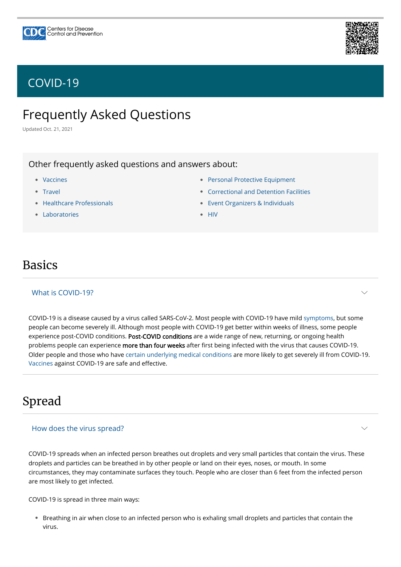# Frequently Asked Questions

Updated Oct. 21, 2021

# Basics

Other frequently asked questions and answers about:

- [Vaccines](https://www.cdc.gov/coronavirus/2019-ncov/vaccines/faq.html) •
- [Travel](https://www.cdc.gov/coronavirus/2019-ncov/travelers/faqs.html)
- [Healthcare Professionals](https://www.cdc.gov/coronavirus/2019-ncov/hcp/faq.html)
- [Laboratories](https://www.cdc.gov/coronavirus/2019-ncov/lab/faqs.html) •
- [Personal Protective Equipment](https://www.cdc.gov/coronavirus/2019-ncov/hcp/respirator-use-faq.html)
- [Correctional and Detention Facilities](https://www.cdc.gov/coronavirus/2019-ncov/community/correction-detention/faq.html) •
- [Event Organizers & Individuals](https://www.cdc.gov/coronavirus/2019-ncov/community/large-events/event-planners-and-attendees-faq.html) •
- [HIV](https://www.cdc.gov/hiv/basics/covid-19.html)

COVID-19 is a disease caused by a virus called SARS-CoV-2. Most people with COVID-19 have mild [symptoms](https://www.cdc.gov/coronavirus/2019-ncov/symptoms-testing/symptoms.html), but some people can become severely ill. Although most people with COVID-19 get better within weeks of illness, some people experience post-COVID conditions. Post-COVID conditions are a wide range of new, returning, or ongoing health problems people can experience more than four weeks after first being infected with the virus that causes COVID-19. Older people and those who have [certain underlying medical conditions](https://www.cdc.gov/coronavirus/2019-ncov/need-extra-precautions/people-with-medical-conditions.html) are more likely to get severely ill from COVID-19. [Vaccines](https://www.cdc.gov/coronavirus/2019-ncov/vaccines/index.html) against COVID-19 are safe and effective.

## What is COVID-19?

# Spread

 $\smile$ 

COVID-19 spreads when an infected person breathes out droplets and very small particles that contain the virus. These droplets and particles can be breathed in by other people or land on their eyes, noses, or mouth. In some circumstances, they may contaminate surfaces they touch. People who are closer than 6 feet from the infected person are most likely to get infected.

COVID-19 is spread in three main ways:

Breathing in air when close to an infected person who is exhaling small droplets and particles that contain the • virus.

### How does the virus spread?





# [COVID-19](https://www.cdc.gov/coronavirus/2019-nCoV/index.html)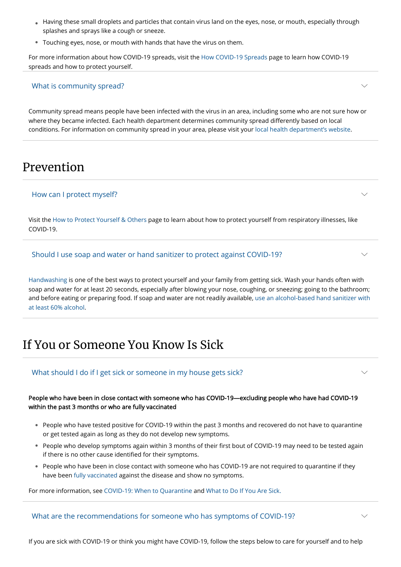- Having these small droplets and particles that contain virus land on the eyes, nose, or mouth, especially through splashes and sprays like a cough or sneeze.
- Touching eyes, nose, or mouth with hands that have the virus on them. •

For more information about how COVID-19 spreads, visit the [How COVID-19 Spreads](https://www.cdc.gov/coronavirus/2019-ncov/prevent-getting-sick/how-covid-spreads.html) page to learn how COVID-19 spreads and how to protect yourself.

Community spread means people have been infected with the virus in an area, including some who are not sure how or where they became infected. Each health department determines community spread differently based on local conditions. For information on community spread in your area, please visit your [local health department's website](https://www.cdc.gov/coronavirus/2019-ncov/php/hd-search/index.html).

## What is community spread?

# Prevention

Visit the [How to Protect Yourself & Others](https://www.cdc.gov/coronavirus/2019-ncov/prevent-getting-sick/prevention.html) page to learn about how to protect yourself from respiratory illnesses, like COVID-19.

## How can I protect myself?

- $\bullet$  People who have tested positive for COVID-19 within the past 3 months and recovered do not have to quarantine
- or get tested again as long as they do not develop new symptoms.
- People who develop symptoms again within 3 months of their first bout of COVID-19 may need to be tested again if there is no other cause identified for their symptoms.
- $\bullet$  People who have been in close contact with someone who has COVID-19 are not required to quarantine if they have been [fully vaccinated](https://www.cdc.gov/coronavirus/2019-ncov/vaccines/fully-vaccinated.html) against the disease and show no symptoms.

[Handwashing](https://www.cdc.gov/handwashing/when-how-handwashing.html) is one of the best ways to protect yourself and your family from getting sick. Wash your hands often with soap and water for at least 20 seconds, especially after blowing your nose, coughing, or sneezing; going to the bathroom; [and before eating or preparing food. If soap and water are not readily available, use an alcohol-based hand sanitizer with](https://www.cdc.gov/coronavirus/2019-ncov/prevent-getting-sick/hand-sanitizer.html) at least 60% alcohol.

### Should I use soap and water or hand sanitizer to protect against COVID-19?

# If You or Someone You Know Is Sick

## What should I do if I get sick or someone in my house gets sick?

### People who have been in close contact with someone who has COVID-19—excluding people who have had COVID-19 within the past 3 months or who are fully vaccinated

For more information, see [COVID-19: When to Quarantine](https://www.cdc.gov/coronavirus/2019-ncov/your-health/quarantine-isolation.html) and [What to Do If You Are Sick.](https://www.cdc.gov/coronavirus/2019-ncov/if-you-are-sick/steps-when-sick.html)

If you are sick with COVID-19 or think you might have COVID-19, follow the steps below to care for yourself and to help

## What are the recommendations for someone who has symptoms of COVID-19?

 $\smile$ 

 $\vee$ 

 $\smile$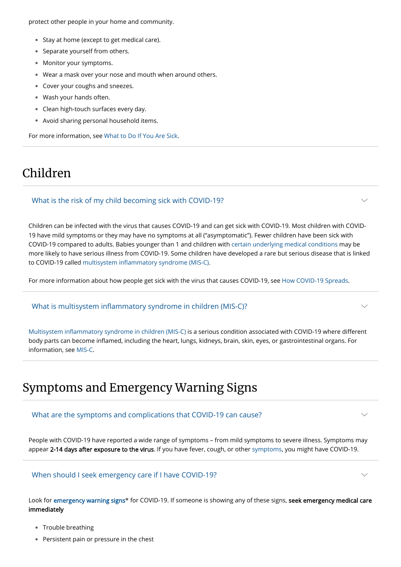protect other people in your home and community.

- Stay at home (except to get medical care).
- Separate yourself from others.
- Monitor your symptoms. •
- Wear a mask over your nose and mouth when around others. •
- Cover your coughs and sneezes. •
- Wash your hands often. •
- Clean high-touch surfaces every day. •
- Avoid sharing personal household items. •

For more information, see [What to Do If You Are Sick](https://www.cdc.gov/coronavirus/2019-ncov/if-you-are-sick/steps-when-sick.html).

# Children

Children can be infected with the virus that causes COVID-19 and can get sick with COVID-19. Most children with COVID-19 have mild symptoms or they may have no symptoms at all ("asymptomatic"). Fewer children have been sick with COVID-19 compared to adults. Babies younger than 1 and children with [certain underlying medical conditions](https://www.cdc.gov/coronavirus/2019-ncov/need-extra-precautions/people-with-medical-conditions.html#ChildrenAndTeens) may be more likely to have serious illness from COVID-19. Some children have developed a rare but serious disease that is linked to COVID-19 called [multisystem inflammatory syndrome \(MIS-C\).](https://www.cdc.gov/mis/mis-c.html)

People with COVID-19 have reported a wide range of symptoms – from mild symptoms to severe illness. Symptoms may appear 2-14 days after exposure to the virus. If you have fever, cough, or other [symptoms](https://www.cdc.gov/coronavirus/2019-ncov/symptoms-testing/symptoms.html), you might have COVID-19.

Look for [emergency warning signs](https://www.cdc.gov/coronavirus/2019-ncov/symptoms-testing/symptoms.html#seek-medical-attention)\* for COVID-19. If someone is showing any of these signs, seek emergency medical care immediately

- Trouble breathing •
- Persistent pain or pressure in the chest

For more information about how people get sick with the virus that causes COVID-19, see [How COVID-19 Spreads.](https://www.cdc.gov/coronavirus/2019-ncov/prevent-getting-sick/how-covid-spreads.html)

## What is the risk of my child becoming sick with COVID-19?

[Multisystem inflammatory syndrome in children \(MIS-C\)](https://www.cdc.gov/mis/index.html) is a serious condition associated with COVID-19 where different body parts can become inflamed, including the heart, lungs, kidneys, brain, skin, eyes, or gastrointestinal organs. For information, see [MIS-C.](https://www.cdc.gov/mis/mis-c.html)

What is multisystem inflammatory syndrome in children (MIS-C)?

# Symptoms and Emergency Warning Signs

What are the symptoms and complications that COVID-19 can cause?

 $\smile$ 

 $\smile$ 

 $\smile$ 

When should I seek emergency care if I have COVID-19?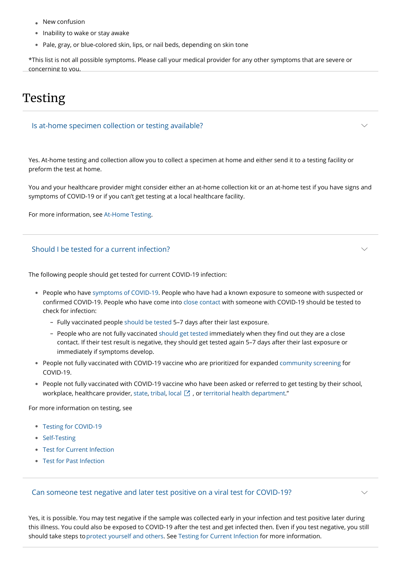- New confusion •
- Inability to wake or stay awake •
- Pale, gray, or blue-colored skin, lips, or nail beds, depending on skin tone

\*This list is not all possible symptoms. Please call your medical provider for any other symptoms that are severe or concerning to you.

# Testing

Yes. At-home testing and collection allow you to collect a specimen at home and either send it to a testing facility or preform the test at home.

You and your healthcare provider might consider either an at-home collection kit or an at-home test if you have signs and symptoms of COVID-19 or if you can't get testing at a local healthcare facility.

For more information, see [At-Home Testing](https://www.cdc.gov/coronavirus/2019-ncov/testing/self-testing.html).

## Is at-home specimen collection or testing available?

The following people should get tested for current COVID-19 infection:

- $\bullet$  People who have [symptoms of COVID-19](https://www.cdc.gov/coronavirus/2019-ncov/symptoms-testing/symptoms.html). People who have had a known exposure to someone with suspected or confirmed COVID-19. People who have come into [close contact](https://www.cdc.gov/coronavirus/2019-ncov/php/contact-tracing/contact-tracing-plan/appendix.html#contact) with someone with COVID-19 should be tested to check for infection:
	- Fully vaccinated people [should be tested](https://www.cdc.gov/coronavirus/2019-ncov/vaccines/fully-vaccinated-guidance.html#RecommendationsOutdoorSettings) 5–7 days after their last exposure.
	- People who are not fully vaccinated [should get tested](https://www.cdc.gov/coronavirus/2019-ncov/daily-life-coping/contact-tracing.html) immediately when they find out they are a close contact. If their test result is negative, they should get tested again 5–7 days after their last exposure or immediately if symptoms develop.
- People not fully vaccinated with COVID-19 vaccine who are prioritized for expanded [community screening](https://www.cdc.gov/coronavirus/2019-ncov/hcp/testing-overview.html) for COVID-19.
- People not fully vaccinated with COVID-19 vaccine who have been asked or referred to get testing by their school, workplace, healthcare provider, [state](https://www.cdc.gov/publichealthgateway/healthdirectories/healthdepartments.html), [tribal](https://www.cdc.gov/tribal/tribes-organizations-health/tribal_groups.html), [local](https://www.naccho.org/membership/lhd-directory)  $\boxtimes$  , or [territorial health department](https://www.cdc.gov/publichealthgateway/healthdirectories/healthdepartments.html)."

- [Self-Testing](https://www.cdc.gov/coronavirus/2019-ncov/testing/self-testing.html)
- [Test for Current Infection](https://www.cdc.gov/coronavirus/2019-ncov/testing/diagnostic-testing.html) •
- [Test for Past Infection](https://www.cdc.gov/coronavirus/2019-ncov/testing/serology-overview.html) •

Yes, it is possible. You may test negative if the sample was collected early in your infection and test positive later during this illness. You could also be exposed to COVID-19 after the test and get infected then. Even if you test negative, you still should take steps to [protect yourself and others.](https://www.cdc.gov/coronavirus/2019-ncov/prevent-getting-sick/prevention.html) See [Testing for Current Infection](https://www.cdc.gov/coronavirus/2019-ncov/testing/diagnostic-testing.html) for more information.

For more information on testing, see

• [Testing for COVID-19](https://www.cdc.gov/coronavirus/2019-ncov/symptoms-testing/testing.html)

## Should I be tested for a current infection?

### Can someone test negative and later test positive on a viral test for COVID-19?

 $\searrow$ 

 $\smile$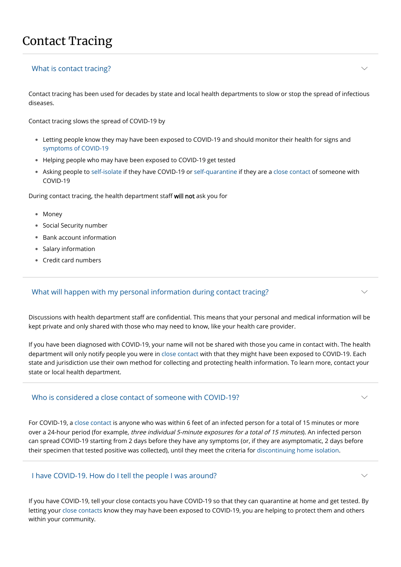# Contact Tracing

Contact tracing has been used for decades by state and local health departments to slow or stop the spread of infectious diseases.

Contact tracing slows the spread of COVID-19 by

- Letting people know they may have been exposed to COVID-19 and should monitor their health for signs and [symptoms of COVID-19](https://www.cdc.gov/coronavirus/2019-ncov/symptoms-testing/symptoms.html)
- Helping people who may have been exposed to COVID-19 get tested •
- Asking people to [self-isolate](https://www.cdc.gov/coronavirus/2019-ncov/if-you-are-sick/isolation.html) if they have COVID-19 or [self-quarantine](https://www.cdc.gov/coronavirus/2019-ncov/your-health/quarantine-isolation.html) if they are a [close contact](https://www.cdc.gov/coronavirus/2019-ncov/php/contact-tracing/contact-tracing-plan/appendix.html#contact) of someone with COVID-19

- Money
- Social Security number
- Bank account information •
- Salary information •
- Credit card numbers •

During contact tracing, the health department staff will not ask you for

## What is contact tracing?

Discussions with health department staff are confidential. This means that your personal and medical information will be kept private and only shared with those who may need to know, like your health care provider.

over a 24-hour period (for example, three individual 5-minute exposures for a total of 15 minutes). An infected person can spread COVID-19 starting from 2 days before they have any symptoms (or, if they are asymptomatic, 2 days before their specimen that tested positive was collected), until they meet the criteria for [discontinuing home isolation](https://www.cdc.gov/coronavirus/2019-ncov/if-you-are-sick/isolation.html).

If you have been diagnosed with COVID-19, your name will not be shared with those you came in contact with. The health department will only notify people you were in [close contact](https://www.cdc.gov/coronavirus/2019-ncov/php/contact-tracing/contact-tracing-plan/appendix.html#contact) with that they might have been exposed to COVID-19. Each state and jurisdiction use their own method for collecting and protecting health information. To learn more, contact your state or local health department.

## What will happen with my personal information during contact tracing?

## Who is considered a close contact of someone with COVID-19?

 $\smile$ 

 $\smile$ 

 $\smile$ 

 $\vee$ 

If you have COVID-19, tell your close contacts you have COVID-19 so that they can quarantine at home and get tested. By letting your [close contacts](https://www.cdc.gov/coronavirus/2019-ncov/php/contact-tracing/contact-tracing-plan/appendix.html#contact) know they may have been exposed to COVID-19, you are helping to protect them and others within your community.

### I have COVID-19. How do I tell the people I was around?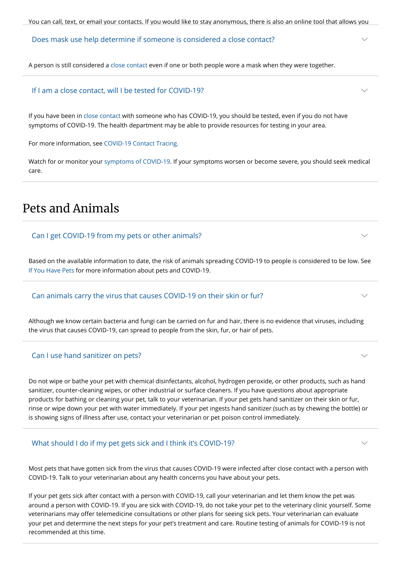A person is still considered a [close contact](https://www.cdc.gov/coronavirus/2019-ncov/php/contact-tracing/contact-tracing-plan/appendix.html#contact) even if one or both people wore a mask when they were together.

### Does mask use help determine if someone is considered a close contact?

If you have been in [close contact](https://www.cdc.gov/coronavirus/2019-ncov/php/contact-tracing/contact-tracing-plan/appendix.html#contact) with someone who has COVID-19, you should be tested, even if you do not have symptoms of COVID-19. The health department may be able to provide resources for testing in your area.

For more information, see [COVID-19 Contact Tracing.](https://www.cdc.gov/coronavirus/2019-ncov/daily-life-coping/contact-tracing.html)

Watch for or monitor your [symptoms of COVID-19](https://www.cdc.gov/coronavirus/2019-ncov/symptoms-testing/symptoms.html). If your symptoms worsen or become severe, you should seek medical care.

### If I am a close contact, will I be tested for COVID-19?

# Pets and Animals

Based on the available information to date, the risk of animals spreading COVID-19 to people is considered to be low. See [If You Have Pets](https://www.cdc.gov/healthypets/covid-19/pets.html) for more information about pets and COVID-19.

### Can I get COVID-19 from my pets or other animals?

Although we know certain bacteria and fungi can be carried on fur and hair, there is no evidence that viruses, including the virus that causes COVID-19, can spread to people from the skin, fur, or hair of pets.

### Can animals carry the virus that causes COVID-19 on their skin or fur?

Do not wipe or bathe your pet with chemical disinfectants, alcohol, hydrogen peroxide, or other products, such as hand sanitizer, counter-cleaning wipes, or other industrial or surface cleaners. If you have questions about appropriate products for bathing or cleaning your pet, talk to your veterinarian. If your pet gets hand sanitizer on their skin or fur, rinse or wipe down your pet with water immediately. If your pet ingests hand sanitizer (such as by chewing the bottle) or is showing signs of illness after use, contact your veterinarian or pet poison control immediately.

### Can I use hand sanitizer on pets?

Most pets that have gotten sick from the virus that causes COVID-19 were infected after close contact with a person with COVID-19. Talk to your veterinarian about any health concerns you have about your pets.

If your pet gets sick after contact with a person with COVID-19, call your veterinarian and let them know the pet was around a person with COVID-19. If you are sick with COVID-19, do not take your pet to the veterinary clinic yourself. Some veterinarians may offer telemedicine consultations or other plans for seeing sick pets. Your veterinarian can evaluate your pet and determine the next steps for your pet's treatment and care. Routine testing of animals for COVID-19 is not recommended at this time.

 $\vee$ 

 $\vee$ 

 $\smile$ 

 $\smile$